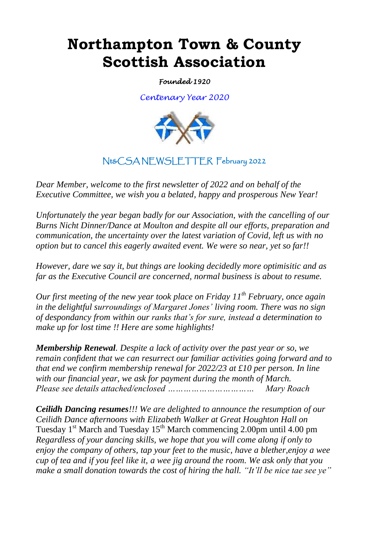# **Northampton Town & County Scottish Association**

*Founded 1920* 

*Centenary Year 2020*



# Nt&CSA NEWSLETTER February 2022

*Dear Member, welcome to the first newsletter of 2022 and on behalf of the Executive Committee, we wish you a belated, happy and prosperous New Year!*

*Unfortunately the year began badly for our Association, with the cancelling of our Burns Nicht Dinner/Dance at Moulton and despite all our efforts, preparation and communication, the uncertainty over the latest variation of Covid, left us with no option but to cancel this eagerly awaited event. We were so near, yet so far!!*

*However, dare we say it, but things are looking decidedly more optimisitic and as far as the Executive Council are concerned, normal business is about to resume.*

*Our first meeting of the new year took place on Friday 11th February, once again in the delightful surroundings of Margaret Jones' living room. There was no sign of despondancy from within our ranks that's for sure, instead a determination to make up for lost time !! Here are some highlights!* 

*Membership Renewal. Despite a lack of activity over the past year or so, we remain confident that we can resurrect our familiar activities going forward and to that end we confirm membership renewal for 2022/23 at £10 per person. In line with our financial year, we ask for payment during the month of March. Please see details attached/enclosed …………………………… Mary Roach*

*Ceilidh Dancing resumes!!! We are delighted to announce the resumption of our Ceilidh Dance afternoons with Elizabeth Walker at Great Houghton Hall on*  Tuesday  $1<sup>st</sup>$  March and Tuesday  $15<sup>th</sup>$  March commencing 2.00pm until 4.00 pm *Regardless of your dancing skills, we hope that you will come along if only to enjoy the company of others, tap your feet to the music, have a blether,enjoy a wee cup of tea and if you feel like it, a wee jig around the room. We ask only that you make a small donation towards the cost of hiring the hall. "It'll be nice tae see ye"*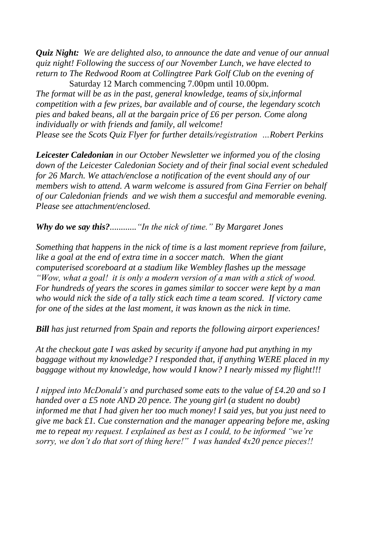*Quiz Night: We are delighted also, to announce the date and venue of our annual quiz night! Following the success of our November Lunch, we have elected to return to The Redwood Room at Collingtree Park Golf Club on the evening of*

Saturday 12 March commencing 7.00pm until 10.00pm. *The format will be as in the past, general knowledge, teams of six,informal competition with a few prizes, bar available and of course, the legendary scotch pies and baked beans, all at the bargain price of £6 per person. Come along individually or with friends and family, all welcome! Please see the Scots Quiz Flyer for further details/registration …Robert Perkins* 

*Leicester Caledonian in our October Newsletter we informed you of the closing down of the Leicester Caledonian Society and of their final social event scheduled for 26 March. We attach/enclose a notification of the event should any of our members wish to attend. A warm welcome is assured from Gina Ferrier on behalf of our Caledonian friends and we wish them a succesful and memorable evening. Please see attachment/enclosed.*

*Why do we say this?............"In the nick of time." By Margaret Jones* 

*Something that happens in the nick of time is a last moment reprieve from failure,*  like a goal at the end of extra time in a soccer match. When the giant *computerised scoreboard at a stadium like Wembley flashes up the message "Wow, what a goal! it is only a modern version of a man with a stick of wood. For hundreds of years the scores in games similar to soccer were kept by a man who would nick the side of a tally stick each time a team scored. If victory came for one of the sides at the last moment, it was known as the nick in time.*

*Bill has just returned from Spain and reports the following airport experiences!*

*At the checkout gate I was asked by security if anyone had put anything in my baggage without my knowledge? I responded that, if anything WERE placed in my baggage without my knowledge, how would I know? I nearly missed my flight!!!*

*I nipped into McDonald's and purchased some eats to the value of £4.20 and so I handed over a £5 note AND 20 pence. The young girl (a student no doubt) informed me that I had given her too much money! I said yes, but you just need to give me back £1. Cue consternation and the manager appearing before me, asking me to repeat my request. I explained as best as I could, to be informed "we're sorry, we don't do that sort of thing here!" I was handed 4x20 pence pieces!!*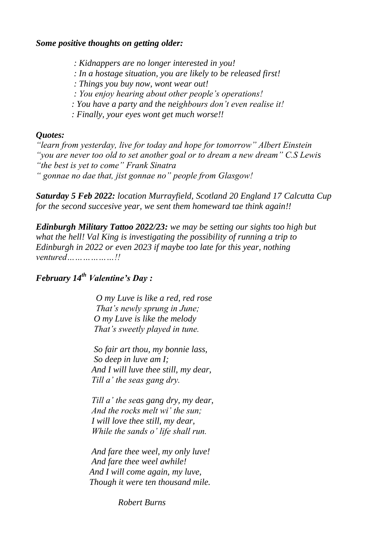*Some positive thoughts on getting older:*

 *: Kidnappers are no longer interested in you!*

- *: In a hostage situation, you are likely to be released first!*
- *: Things you buy now, wont wear out!*

 *: You enjoy hearing about other people's operations!*

 *: You have a party and the neighbours don't even realise it!*

 *: Finally, your eyes wont get much worse!!*

### *Quotes:*

*"learn from yesterday, live for today and hope for tomorrow" Albert Einstein "you are never too old to set another goal or to dream a new dream" C.S Lewis "the best is yet to come" Frank Sinatra " gonnae no dae that, jist gonnae no" people from Glasgow!*

*Saturday 5 Feb 2022: location Murrayfield, Scotland 20 England 17 Calcutta Cup for the second succesive year, we sent them homeward tae think again!!*

*Edinburgh Military Tattoo 2022/23: we may be setting our sights too high but what the hell! Val King is investigating the possibility of running a trip to Edinburgh in 2022 or even 2023 if maybe too late for this year, nothing ventured………………!!*

## *February 14th Valentine's Day :*

 *O my Luve is like a red, red rose That's newly sprung in June; O my Luve is like the melody That's sweetly played in tune.*

 *So fair art thou, my bonnie lass, So deep in luve am I; And I will luve thee still, my dear, Till a' the seas gang dry.*

 *Till a' the seas gang dry, my dear, And the rocks melt wi' the sun; I will love thee still, my dear, While the sands o' life shall run.*

 *And fare thee weel, my only luve! And fare thee weel awhile! And I will come again, my luve, Though it were ten thousand mile.*

 *Robert Burns*